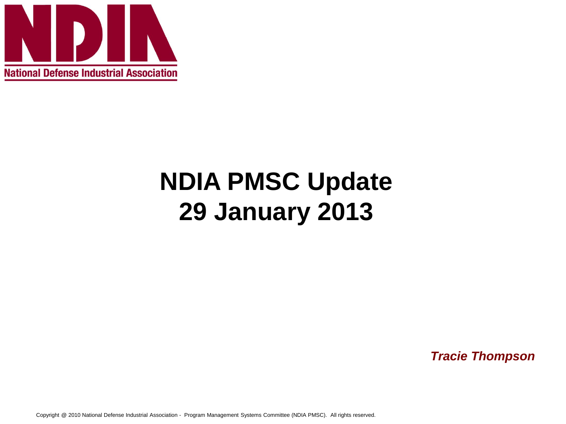

# **NDIA PMSC Update 29 January 2013**

*Tracie Thompson*

Copyright @ 2010 National Defense Industrial Association - Program Management Systems Committee (NDIA PMSC). All rights reserved.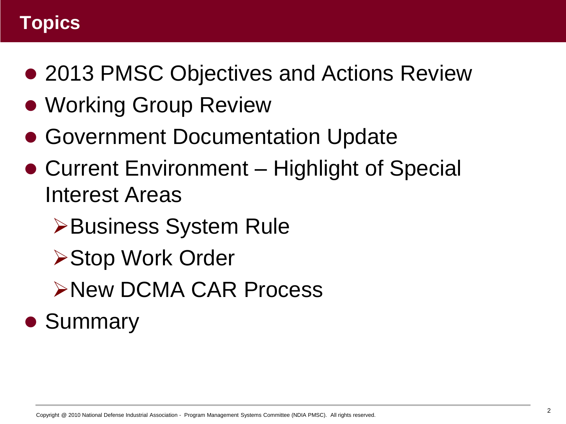#### **Topics**

- 2013 PMSC Objectives and Actions Review
- Working Group Review
- Government Documentation Update
- Current Environment Highlight of Special Interest Areas
	- Business System Rule
	- **≻Stop Work Order**
	- New DCMA CAR Process

## • Summary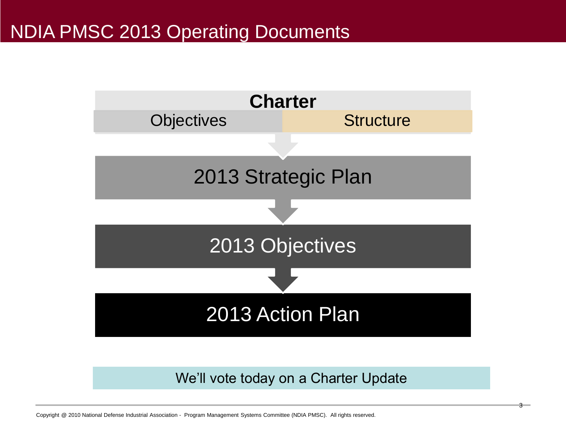#### NDIA PMSC 2013 Operating Documents



We'll vote today on a Charter Update

3

Copyright @ 2010 National Defense Industrial Association - Program Management Systems Committee (NDIA PMSC). All rights reserved.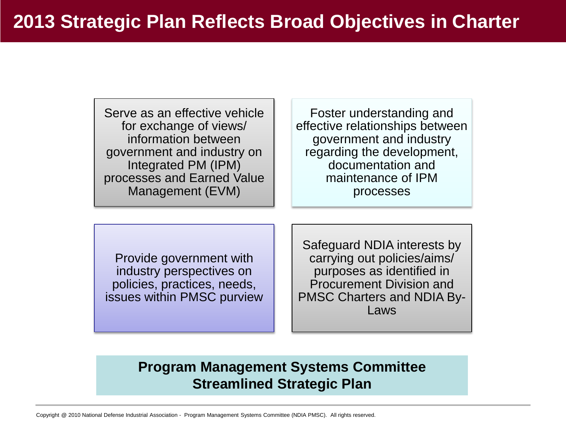Serve as an effective vehicle for exchange of views/ information between government and industry on Integrated PM (IPM) processes and Earned Value Management (EVM)

Foster understanding and effective relationships between government and industry regarding the development, documentation and maintenance of IPM processes

Provide government with industry perspectives on policies, practices, needs, issues within PMSC purview

Safeguard NDIA interests by carrying out policies/aims/ purposes as identified in Procurement Division and PMSC Charters and NDIA By-Laws

#### **Program Management Systems Committee Streamlined Strategic Plan**

Copyright @ 2010 National Defense Industrial Association - Program Management Systems Committee (NDIA PMSC). All rights reserved.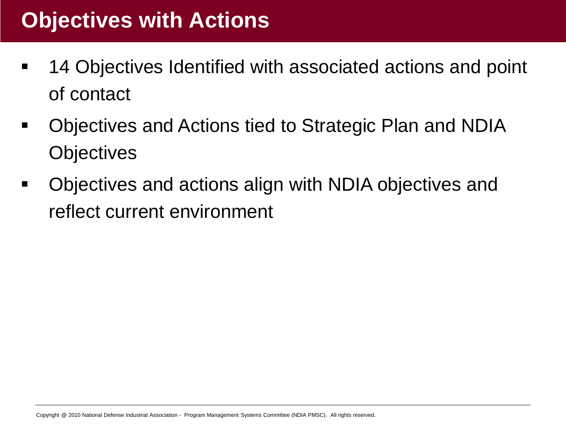### **Objectives with Actions**

- 14 Objectives Identified with associated actions and point of contact
- Objectives and Actions tied to Strategic Plan and NDIA **Objectives**
- Objectives and actions align with NDIA objectives and reflect current environment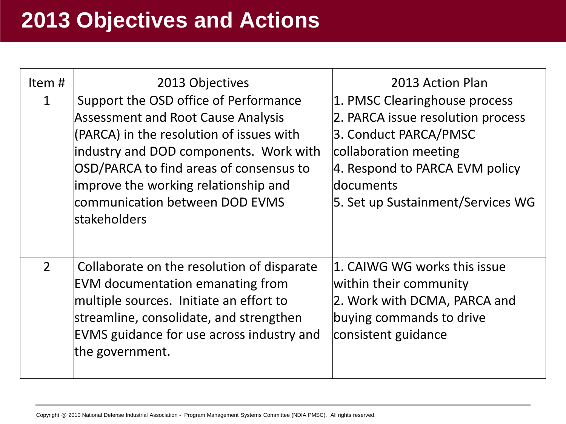### **2013 Objectives and Actions**

| Item#          | 2013 Objectives                                                                                                                                                                                                                                                                                               | 2013 Action Plan                                                                                                                                                                                         |
|----------------|---------------------------------------------------------------------------------------------------------------------------------------------------------------------------------------------------------------------------------------------------------------------------------------------------------------|----------------------------------------------------------------------------------------------------------------------------------------------------------------------------------------------------------|
| 1              | Support the OSD office of Performance<br><b>Assessment and Root Cause Analysis</b><br>(PARCA) in the resolution of issues with<br>industry and DOD components. Work with<br>OSD/PARCA to find areas of consensus to<br>improve the working relationship and<br>communication between DOD EVMS<br>stakeholders | 1. PMSC Clearinghouse process<br>2. PARCA issue resolution process<br>3. Conduct PARCA/PMSC<br>collaboration meeting<br>4. Respond to PARCA EVM policy<br>documents<br>5. Set up Sustainment/Services WG |
| $\overline{2}$ | Collaborate on the resolution of disparate<br><b>EVM documentation emanating from</b><br>multiple sources. Initiate an effort to<br>streamline, consolidate, and strengthen<br><b>EVMS</b> guidance for use across industry and<br>the government.                                                            | $ 1.$ CAIWG WG works this issue<br>within their community<br>2. Work with DCMA, PARCA and<br>buying commands to drive<br>consistent guidance                                                             |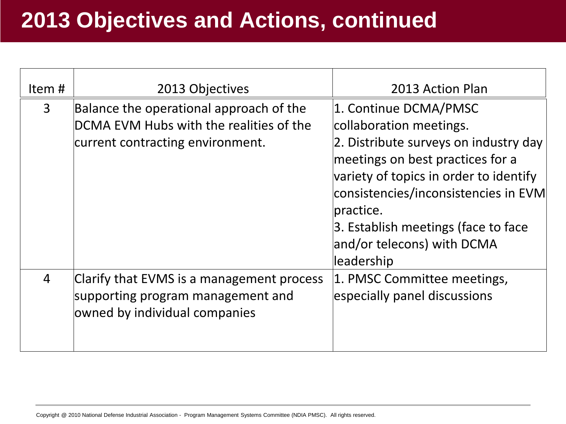| Item# | 2013 Objectives                                                                                                        | 2013 Action Plan                                                                                                                                                                                                                                                                                                |
|-------|------------------------------------------------------------------------------------------------------------------------|-----------------------------------------------------------------------------------------------------------------------------------------------------------------------------------------------------------------------------------------------------------------------------------------------------------------|
| 3     | Balance the operational approach of the<br>DCMA EVM Hubs with the realities of the<br>current contracting environment. | 1. Continue DCMA/PMSC<br>collaboration meetings.<br>2. Distribute surveys on industry day<br>meetings on best practices for a<br>variety of topics in order to identify<br>consistencies/inconsistencies in EVM<br>practice.<br>3. Establish meetings (face to face<br>and/or telecons) with DCMA<br>leadership |
| 4     | Clarify that EVMS is a management process<br>supporting program management and<br>owned by individual companies        | 1. PMSC Committee meetings,<br>especially panel discussions                                                                                                                                                                                                                                                     |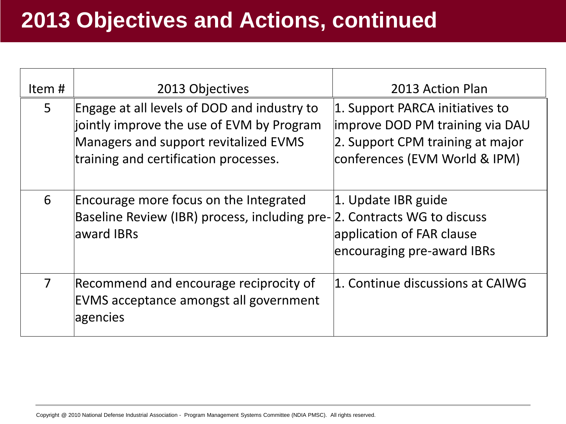| Item#          | 2013 Objectives                                                                                                                                                            | 2013 Action Plan                                                                                                                        |
|----------------|----------------------------------------------------------------------------------------------------------------------------------------------------------------------------|-----------------------------------------------------------------------------------------------------------------------------------------|
| $5^{\circ}$    | Engage at all levels of DOD and industry to<br>jointly improve the use of EVM by Program<br>Managers and support revitalized EVMS<br>training and certification processes. | 1. Support PARCA initiatives to<br>improve DOD PM training via DAU<br>2. Support CPM training at major<br>conferences (EVM World & IPM) |
| 6              | Encourage more focus on the Integrated<br>Baseline Review (IBR) process, including pre-<br>award IBRs                                                                      | $ 1.$ Update IBR guide<br>2. Contracts WG to discuss<br>application of FAR clause<br>encouraging pre-award IBRs                         |
| $\overline{7}$ | Recommend and encourage reciprocity of<br>EVMS acceptance amongst all government<br>agencies                                                                               | 1. Continue discussions at CAIWG                                                                                                        |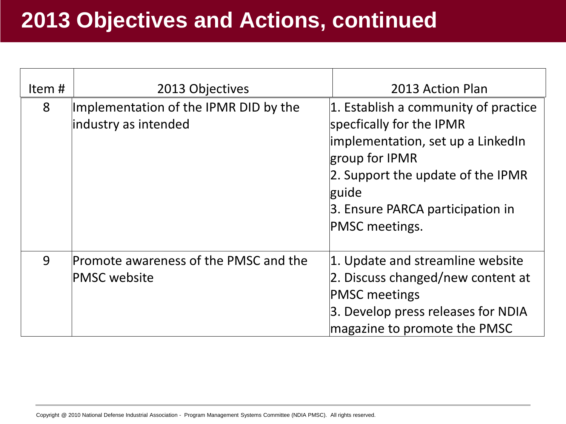| Item# | 2013 Objectives                                               | 2013 Action Plan                                                                                                                                                                                                                |
|-------|---------------------------------------------------------------|---------------------------------------------------------------------------------------------------------------------------------------------------------------------------------------------------------------------------------|
| 8     | Implementation of the IPMR DID by the<br>industry as intended | $ 1$ . Establish a community of practice<br>specfically for the IPMR<br>implementation, set up a LinkedIn<br>group for IPMR<br>2. Support the update of the IPMR<br>guide<br>3. Ensure PARCA participation in<br>PMSC meetings. |
| 9     | Promote awareness of the PMSC and the<br><b>PMSC website</b>  | 1. Update and streamline website<br>2. Discuss changed/new content at<br><b>PMSC meetings</b><br>3. Develop press releases for NDIA<br>magazine to promote the PMSC                                                             |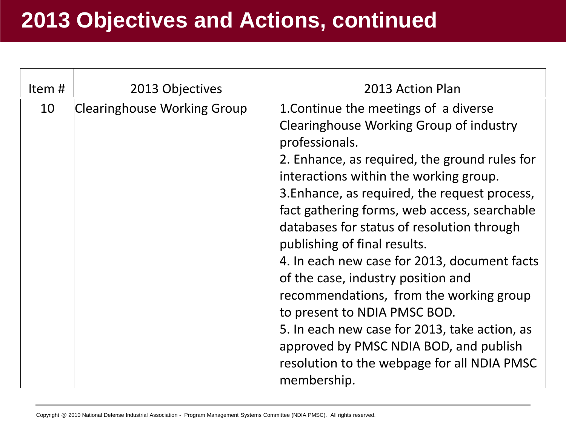| Item# | 2013 Objectives                    | 2013 Action Plan                                                                                                                                                                                                                                                                                                                                                                                                                                                                                                                                                                                                                                                                                       |
|-------|------------------------------------|--------------------------------------------------------------------------------------------------------------------------------------------------------------------------------------------------------------------------------------------------------------------------------------------------------------------------------------------------------------------------------------------------------------------------------------------------------------------------------------------------------------------------------------------------------------------------------------------------------------------------------------------------------------------------------------------------------|
| 10    | <b>Clearinghouse Working Group</b> | 1. Continue the meetings of a diverse<br>Clearinghouse Working Group of industry<br>professionals.<br>2. Enhance, as required, the ground rules for<br>interactions within the working group.<br>3. Enhance, as required, the request process,<br>fact gathering forms, web access, searchable<br>databases for status of resolution through<br>publishing of final results.<br>4. In each new case for 2013, document facts<br>of the case, industry position and<br>recommendations, from the working group<br>to present to NDIA PMSC BOD.<br>5. In each new case for 2013, take action, as<br>approved by PMSC NDIA BOD, and publish<br>resolution to the webpage for all NDIA PMSC<br>membership. |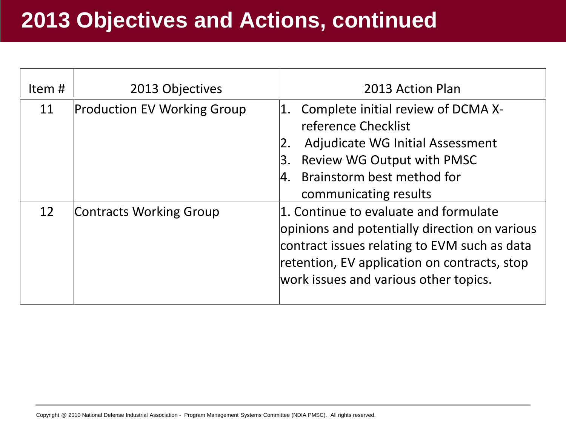| Item# | 2013 Objectives                    | 2013 Action Plan                                                                                                                                                                                                                |  |
|-------|------------------------------------|---------------------------------------------------------------------------------------------------------------------------------------------------------------------------------------------------------------------------------|--|
| 11    | <b>Production EV Working Group</b> | Complete initial review of DCMA X-<br>1.<br>reference Checklist<br>Adjudicate WG Initial Assessment<br>Review WG Output with PMSC<br>Β.<br>Brainstorm best method for<br>I4.<br>communicating results                           |  |
| 12    | <b>Contracts Working Group</b>     | 1. Continue to evaluate and formulate<br>opinions and potentially direction on various<br>contract issues relating to EVM such as data<br>retention, EV application on contracts, stop<br>work issues and various other topics. |  |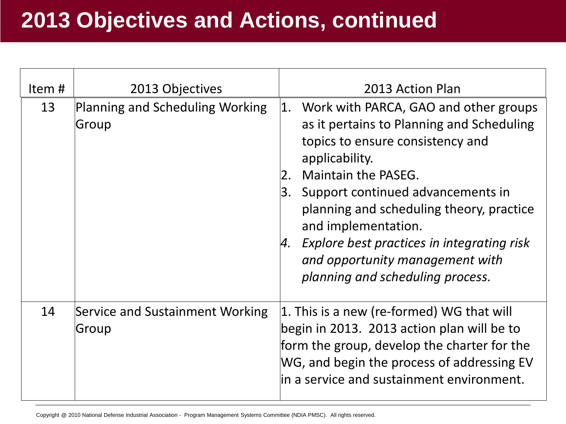| Item# | 2013 Objectives                          | 2013 Action Plan                                                                                                                                                                                                                                                                                                                                                                                                        |
|-------|------------------------------------------|-------------------------------------------------------------------------------------------------------------------------------------------------------------------------------------------------------------------------------------------------------------------------------------------------------------------------------------------------------------------------------------------------------------------------|
| 13    | Planning and Scheduling Working<br>Group | Work with PARCA, GAO and other groups<br> 1. <br>as it pertains to Planning and Scheduling<br>topics to ensure consistency and<br>applicability.<br>Maintain the PASEG.<br> 2.<br>Support continued advancements in<br>3.<br>planning and scheduling theory, practice<br>and implementation.<br>Explore best practices in integrating risk<br>4.<br>and opportunity management with<br>planning and scheduling process. |
| 14    | Service and Sustainment Working<br>Group | 1. This is a new (re-formed) WG that will<br>begin in 2013. 2013 action plan will be to<br>form the group, develop the charter for the<br>WG, and begin the process of addressing EV<br>lin a service and sustainment environment.                                                                                                                                                                                      |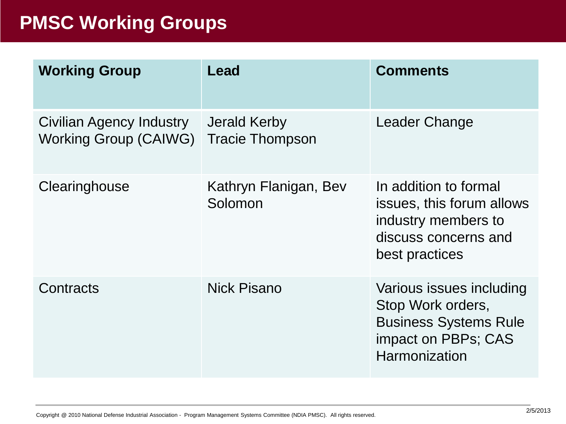#### **PMSC Working Groups**

| <b>Working Group</b>                              | Lead                                          | <b>Comments</b>                                                                                                              |
|---------------------------------------------------|-----------------------------------------------|------------------------------------------------------------------------------------------------------------------------------|
| Civilian Agency Industry<br>Working Group (CAIWG) | <b>Jerald Kerby</b><br><b>Tracie Thompson</b> | Leader Change                                                                                                                |
| Clearinghouse                                     | Kathryn Flanigan, Bev<br>Solomon              | In addition to formal<br>issues, this forum allows<br>industry members to<br>discuss concerns and<br>best practices          |
| Contracts                                         | <b>Nick Pisano</b>                            | Various issues including<br>Stop Work orders,<br><b>Business Systems Rule</b><br>impact on PBPs; CAS<br><b>Harmonization</b> |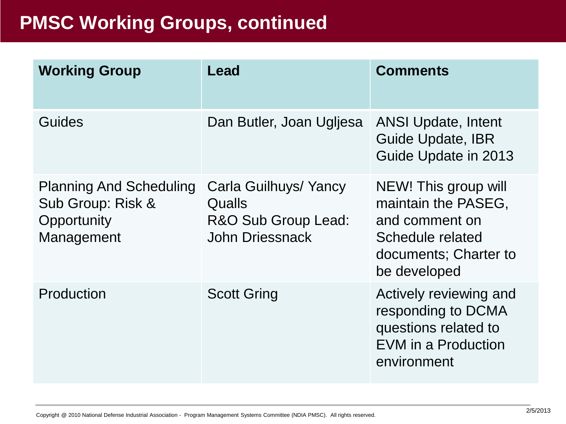#### **PMSC Working Groups, continued**

| <b>Working Group</b>                                                             | Lead                                                                             | <b>Comments</b>                                                                                                            |
|----------------------------------------------------------------------------------|----------------------------------------------------------------------------------|----------------------------------------------------------------------------------------------------------------------------|
| Guides                                                                           | Dan Butler, Joan Ugljesa                                                         | <b>ANSI Update, Intent</b><br><b>Guide Update, IBR</b><br>Guide Update in 2013                                             |
| <b>Planning And Scheduling</b><br>Sub Group: Risk &<br>Opportunity<br>Management | Carla Guilhuys/ Yancy<br>Qualls<br>R&O Sub Group Lead:<br><b>John Driessnack</b> | NEW! This group will<br>maintain the PASEG,<br>and comment on<br>Schedule related<br>documents; Charter to<br>be developed |
| Production                                                                       | <b>Scott Gring</b>                                                               | Actively reviewing and<br>responding to DCMA<br>questions related to<br><b>EVM</b> in a Production<br>environment          |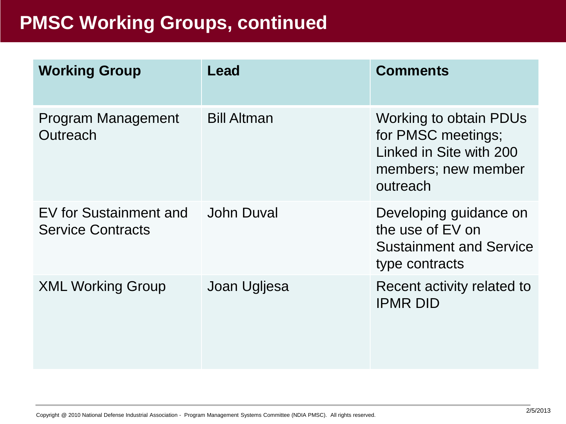#### **PMSC Working Groups, continued**

| <b>Working Group</b>                               | Lead               | <b>Comments</b>                                                                                                   |
|----------------------------------------------------|--------------------|-------------------------------------------------------------------------------------------------------------------|
| <b>Program Management</b><br>Outreach              | <b>Bill Altman</b> | <b>Working to obtain PDUs</b><br>for PMSC meetings;<br>Linked in Site with 200<br>members; new member<br>outreach |
| EV for Sustainment and<br><b>Service Contracts</b> | John Duval         | Developing guidance on<br>the use of EV on<br><b>Sustainment and Service</b><br>type contracts                    |
| <b>XML Working Group</b>                           | Joan Ugljesa       | Recent activity related to<br><b>IPMR DID</b>                                                                     |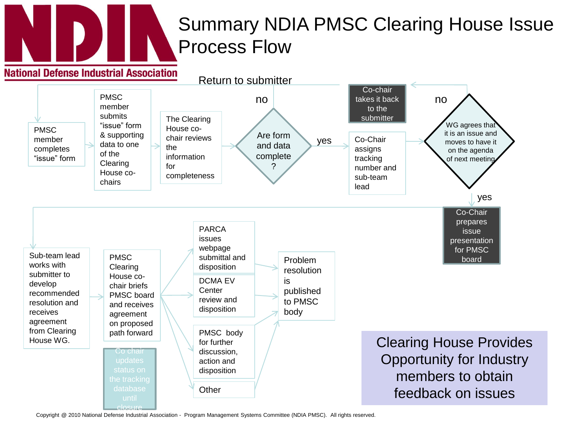

### Summary NDIA PMSC Clearing House Issue Process Flow



Copyright @ 2010 National Defense Industrial Association - Program Management Systems Committee (NDIA PMSC). All rights reserved.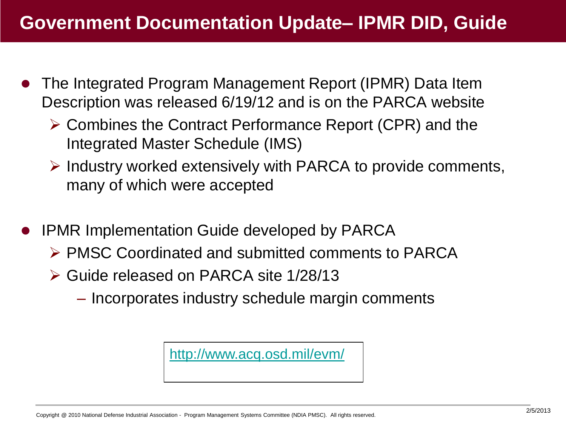- The Integrated Program Management Report (IPMR) Data Item Description was released 6/19/12 and is on the PARCA website
	- Combines the Contract Performance Report (CPR) and the Integrated Master Schedule (IMS)
	- $\triangleright$  Industry worked extensively with PARCA to provide comments, many of which were accepted
- IPMR Implementation Guide developed by PARCA
	- PMSC Coordinated and submitted comments to PARCA
	- Guide released on PARCA site 1/28/13
		- Incorporates industry schedule margin comments

<http://www.acq.osd.mil/evm/>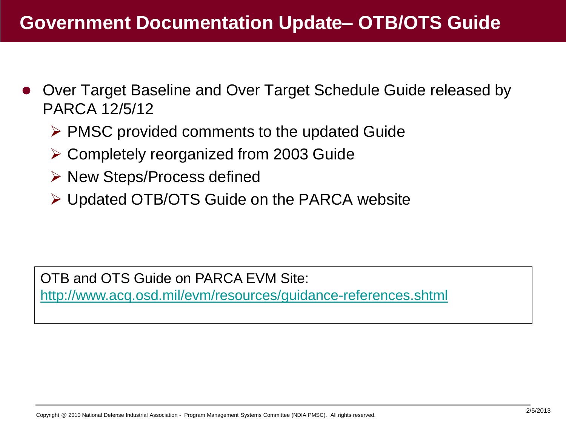- Over Target Baseline and Over Target Schedule Guide released by PARCA 12/5/12
	- $\triangleright$  PMSC provided comments to the updated Guide
	- Completely reorganized from 2003 Guide
	- **▶ New Steps/Process defined**
	- Updated OTB/OTS Guide on the PARCA website

OTB and OTS Guide on PARCA EVM Site: <http://www.acq.osd.mil/evm/resources/guidance-references.shtml>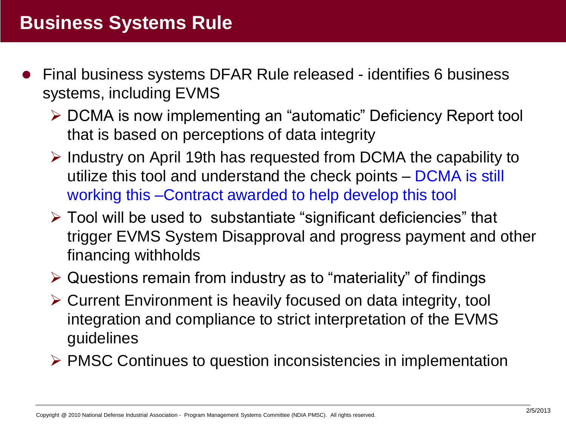- Final business systems DFAR Rule released identifies 6 business systems, including EVMS
	- DCMA is now implementing an "automatic" Deficiency Report tool that is based on perceptions of data integrity
	- $\triangleright$  Industry on April 19th has requested from DCMA the capability to utilize this tool and understand the check points – DCMA is still working this –Contract awarded to help develop this tool
	- $\triangleright$  Tool will be used to substantiate "significant deficiencies" that trigger EVMS System Disapproval and progress payment and other financing withholds
	- Questions remain from industry as to "materiality" of findings
	- Current Environment is heavily focused on data integrity, tool integration and compliance to strict interpretation of the EVMS guidelines
	- $\triangleright$  PMSC Continues to question inconsistencies in implementation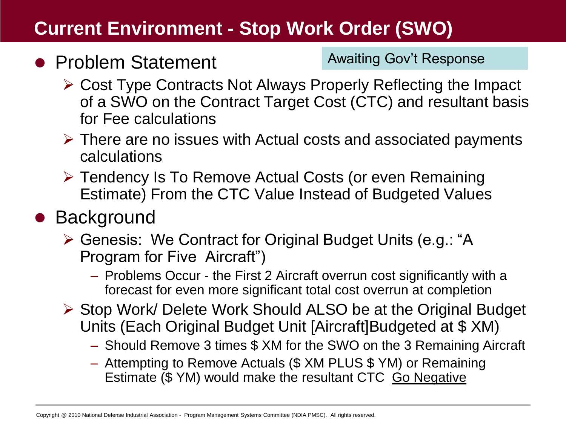#### **Current Environment - Stop Work Order (SWO)**

#### • Problem Statement

Awaiting Gov't Response

- Cost Type Contracts Not Always Properly Reflecting the Impact of a SWO on the Contract Target Cost (CTC) and resultant basis for Fee calculations
- $\triangleright$  There are no issues with Actual costs and associated payments calculations
- Tendency Is To Remove Actual Costs (or even Remaining Estimate) From the CTC Value Instead of Budgeted Values

### • Background

- Genesis: We Contract for Original Budget Units (e.g.: "A Program for Five Aircraft")
	- Problems Occur the First 2 Aircraft overrun cost significantly with a forecast for even more significant total cost overrun at completion
- ▶ Stop Work/ Delete Work Should ALSO be at the Original Budget Units (Each Original Budget Unit [Aircraft]Budgeted at \$ XM)
	- Should Remove 3 times \$ XM for the SWO on the 3 Remaining Aircraft
	- Attempting to Remove Actuals (\$ XM PLUS \$ YM) or Remaining Estimate (\$ YM) would make the resultant CTC Go Negative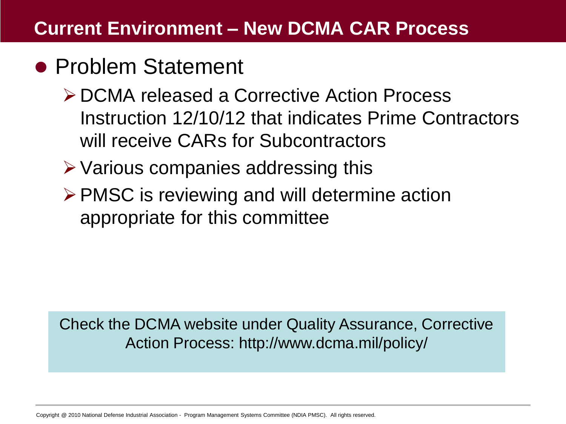#### **Current Environment – New DCMA CAR Process**

### • Problem Statement

- DCMA released a Corrective Action Process Instruction 12/10/12 that indicates Prime Contractors will receive CARs for Subcontractors
- $\triangleright$  Various companies addressing this
- $\triangleright$  PMSC is reviewing and will determine action appropriate for this committee

Check the DCMA website under Quality Assurance, Corrective Action Process: http://www.dcma.mil/policy/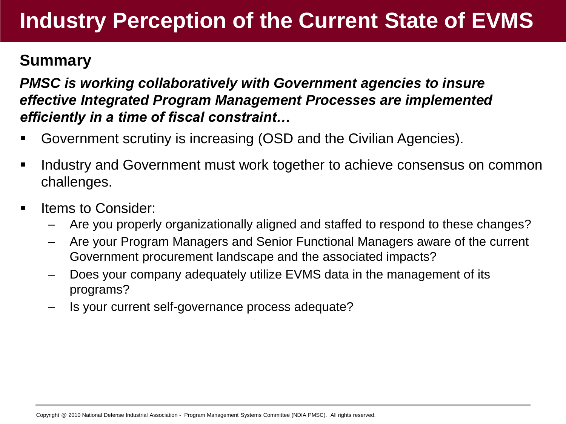### **Industry Perception of the Current State of EVMS**

#### **Summary**

*PMSC is working collaboratively with Government agencies to insure effective Integrated Program Management Processes are implemented efficiently in a time of fiscal constraint…*

- Government scrutiny is increasing (OSD and the Civilian Agencies).
- **I.** Industry and Government must work together to achieve consensus on common challenges.
- Items to Consider:
	- Are you properly organizationally aligned and staffed to respond to these changes?
	- Are your Program Managers and Senior Functional Managers aware of the current Government procurement landscape and the associated impacts?
	- Does your company adequately utilize EVMS data in the management of its programs?
	- Is your current self-governance process adequate?